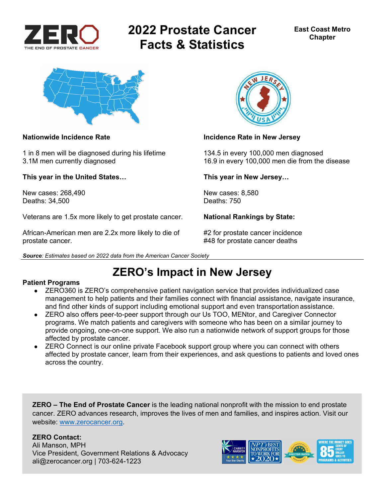

# **2022 Prostate Cancer Facts & Statistics**



1 in 8 men will be diagnosed during his lifetime 134.5 in every 100,000 men diagnosed

**This year in the United States… This year in New Jersey…** 

New cases: 268,490 New cases: 8,580<br>Deaths: 34.500 Deaths: 750 Deaths: 34,500

Veterans are 1.5x more likely to get prostate cancer. **National Rankings by State:** 

African-American men are 2.2x more likely to die of  $\#2$  for prostate cancer incidence prostate cancer. #48 for prostate cancer deaths





#### **Nationwide Incidence Rate Incidence Rate Incidence Rate in New Jersey**

3.1M men currently diagnosed 16.9 in every 100,000 men die from the disease

## **ZERO's Impact in New Jersey**

#### **Patient Programs**

- ZERO360 is ZERO's comprehensive patient navigation service that provides individualized case management to help patients and their families connect with financial assistance, navigate insurance, and find other kinds of support including emotional support and even transportation assistance.
- ZERO also offers peer-to-peer support through our Us TOO, MENtor, and Caregiver Connector programs. We match patients and caregivers with someone who has been on a similar journey to provide ongoing, one-on-one support. We also run a nationwide network of support groups for those affected by prostate cancer.
- ZERO Connect is our online private Facebook support group where you can connect with others affected by prostate cancer, learn from their experiences, and ask questions to patients and loved ones across the country.

**ZERO – The End of Prostate Cancer** is the leading national nonprofit with the mission to end prostate cancer. ZERO advances research, improves the lives of men and families, and inspires action. Visit our website: www.zerocancer.org.

### **ZERO Contact:**

Ali Manson, MPH Vice President, Government Relations & Advocacy ali@zerocancer.org | 703-624-1223

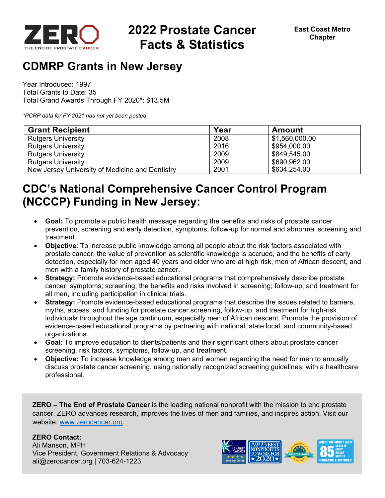

# **2022 Prostate Cancer Facts & Statistics**

## **CDMRP Grants in New Jersey**

Year Introduced: 1997 Total Grants to Date: 35 Total Grand Awards Through FY 2020\*: \$13.5M

*\*PCRP data for FY 2021 has not yet been posted* 

| <b>Grant Recipient</b>                          | Year | <b>Amount</b>  |
|-------------------------------------------------|------|----------------|
| <b>Rutgers University</b>                       | 2008 | \$1,560,000.00 |
| <b>Rutgers University</b>                       | 2016 | \$954,000.00   |
| <b>Rutgers University</b>                       | 2009 | \$849,545.00   |
| <b>Rutgers University</b>                       | 2009 | \$690,962.00   |
| New Jersey University of Medicine and Dentistry | 2001 | \$634,254.00   |

## **CDC's National Comprehensive Cancer Control Program (NCCCP) Funding in New Jersey:**

- **Goal:** To promote a public health message regarding the benefits and risks of prostate cancer prevention, screening and early detection, symptoms, follow-up for normal and abnormal screening and treatment.
- **Objective**: To increase public knowledge among all people about the risk factors associated with prostate cancer, the value of prevention as scientific knowledge is accrued, and the benefits of early detection, especially for men aged 40 years and older who are at high risk, men of African descent, and men with a family history of prostate cancer.
- **Strategy:** Promote evidence-based educational programs that comprehensively describe prostate cancer; symptoms; screening; the benefits and risks involved in screening; follow-up; and treatment for all men, including participation in clinical trials.
- **Strategy:** Promote evidence-based educational programs that describe the issues related to barriers, myths, access, and funding for prostate cancer screening, follow-up, and treatment for high-risk individuals throughout the age continuum, especially men of African descent. Promote the provision of evidence-based educational programs by partnering with national, state local, and community-based organizations.
- **Goal**: To improve education to clients/patients and their significant others about prostate cancer screening, risk factors, symptoms, follow-up, and treatment.
- **Objective:** To increase knowledge among men and women regarding the need for men to annually discuss prostate cancer screening, using nationally recognized screening guidelines, with a healthcare professional.

**ZERO – The End of Prostate Cancer** is the leading national nonprofit with the mission to end prostate cancer. ZERO advances research, improves the lives of men and families, and inspires action. Visit our website: www.zerocancer.org.

### **ZERO Contact:**

Ali Manson, MPH Vice President, Government Relations & Advocacy ali@zerocancer.org | 703-624-1223